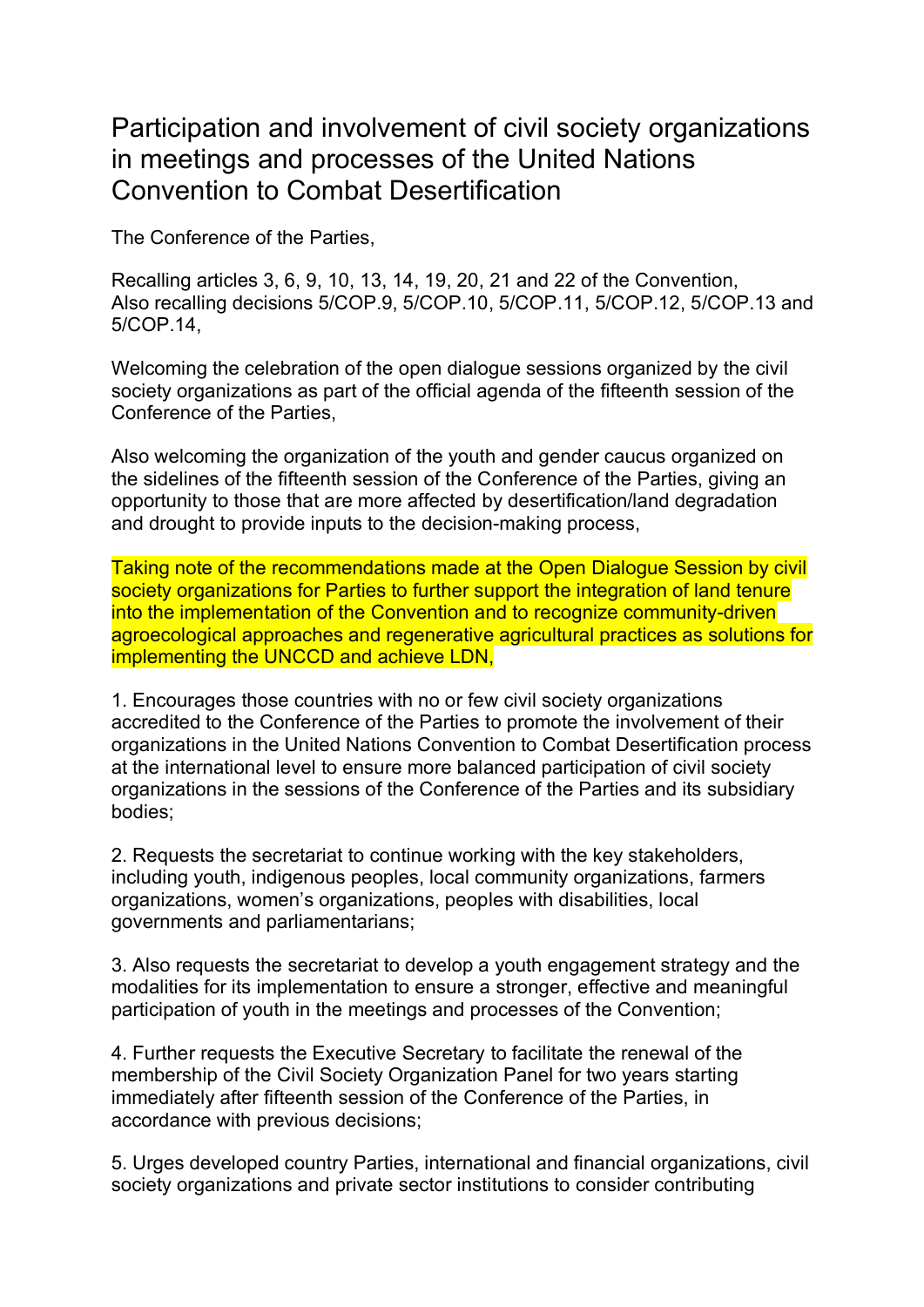## Participation and involvement of civil society organizations in meetings and processes of the United Nations Convention to Combat Desertification

The Conference of the Parties,

Recalling articles 3, 6, 9, 10, 13, 14, 19, 20, 21 and 22 of the Convention, Also recalling decisions 5/COP.9, 5/COP.10, 5/COP.11, 5/COP.12, 5/COP.13 and 5/COP.14,

Welcoming the celebration of the open dialogue sessions organized by the civil society organizations as part of the official agenda of the fifteenth session of the Conference of the Parties,

Also welcoming the organization of the youth and gender caucus organized on the sidelines of the fifteenth session of the Conference of the Parties, giving an opportunity to those that are more affected by desertification/land degradation and drought to provide inputs to the decision-making process,

Taking note of the recommendations made at the Open Dialogue Session by civil society organizations for Parties to further support the integration of land tenure into the implementation of the Convention and to recognize community-driven agroecological approaches and regenerative agricultural practices as solutions for implementing the UNCCD and achieve LDN,

1. Encourages those countries with no or few civil society organizations accredited to the Conference of the Parties to promote the involvement of their organizations in the United Nations Convention to Combat Desertification process at the international level to ensure more balanced participation of civil society organizations in the sessions of the Conference of the Parties and its subsidiary bodies;

2. Requests the secretariat to continue working with the key stakeholders, including youth, indigenous peoples, local community organizations, farmers organizations, women's organizations, peoples with disabilities, local governments and parliamentarians;

3. Also requests the secretariat to develop a youth engagement strategy and the modalities for its implementation to ensure a stronger, effective and meaningful participation of youth in the meetings and processes of the Convention;

4. Further requests the Executive Secretary to facilitate the renewal of the membership of the Civil Society Organization Panel for two years starting immediately after fifteenth session of the Conference of the Parties, in accordance with previous decisions;

5. Urges developed country Parties, international and financial organizations, civil society organizations and private sector institutions to consider contributing